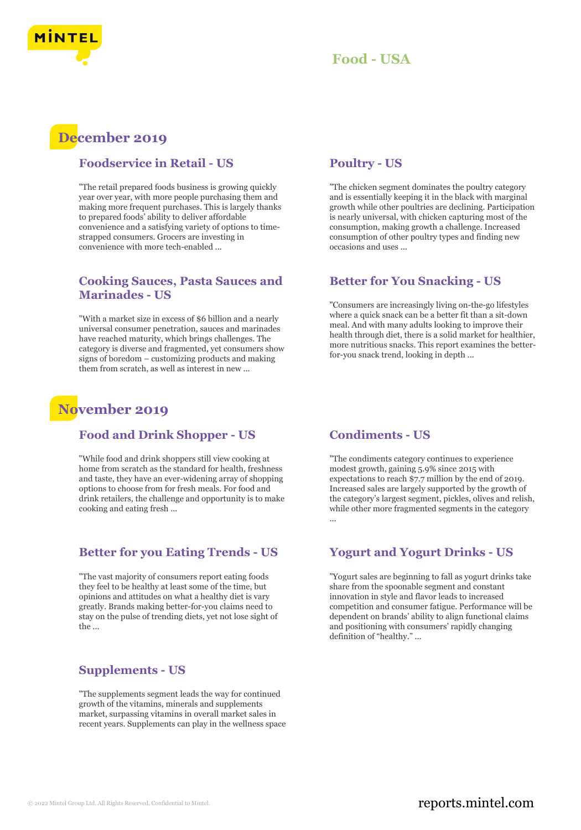



## **December 2019**

#### **Foodservice in Retail - US**

"The retail prepared foods business is growing quickly year over year, with more people purchasing them and making more frequent purchases. This is largely thanks to prepared foods' ability to deliver affordable convenience and a satisfying variety of options to timestrapped consumers. Grocers are investing in convenience with more tech-enabled ...

#### **Cooking Sauces, Pasta Sauces and Marinades - US**

"With a market size in excess of \$6 billion and a nearly universal consumer penetration, sauces and marinades have reached maturity, which brings challenges. The category is diverse and fragmented, yet consumers show signs of boredom – customizing products and making them from scratch, as well as interest in new ...

## **November 2019**

#### **Food and Drink Shopper - US**

"While food and drink shoppers still view cooking at home from scratch as the standard for health, freshness and taste, they have an ever-widening array of shopping options to choose from for fresh meals. For food and drink retailers, the challenge and opportunity is to make cooking and eating fresh ...

#### **Better for you Eating Trends - US**

"The vast majority of consumers report eating foods they feel to be healthy at least some of the time, but opinions and attitudes on what a healthy diet is vary greatly. Brands making better-for-you claims need to stay on the pulse of trending diets, yet not lose sight of the ...

#### **Supplements - US**

"The supplements segment leads the way for continued growth of the vitamins, minerals and supplements market, surpassing vitamins in overall market sales in recent years. Supplements can play in the wellness space

#### **Poultry - US**

"The chicken segment dominates the poultry category and is essentially keeping it in the black with marginal growth while other poultries are declining. Participation is nearly universal, with chicken capturing most of the consumption, making growth a challenge. Increased consumption of other poultry types and finding new occasions and uses ...

#### **Better for You Snacking - US**

"Consumers are increasingly living on-the-go lifestyles where a quick snack can be a better fit than a sit-down meal. And with many adults looking to improve their health through diet, there is a solid market for healthier, more nutritious snacks. This report examines the betterfor-you snack trend, looking in depth ...

#### **Condiments - US**

"The condiments category continues to experience modest growth, gaining 5.9% since 2015 with expectations to reach \$7.7 million by the end of 2019. Increased sales are largely supported by the growth of the category's largest segment, pickles, olives and relish, while other more fragmented segments in the category ...

#### **Yogurt and Yogurt Drinks - US**

"Yogurt sales are beginning to fall as yogurt drinks take share from the spoonable segment and constant innovation in style and flavor leads to increased competition and consumer fatigue. Performance will be dependent on brands' ability to align functional claims and positioning with consumers' rapidly changing definition of "healthy." ...